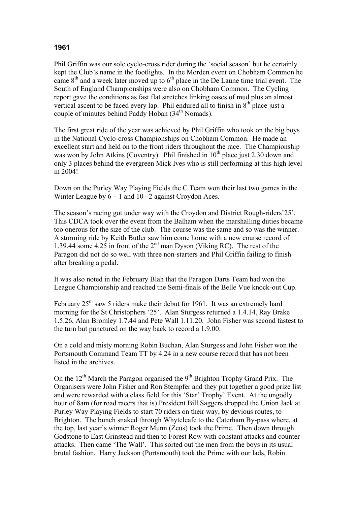## **1961**

Phil Griffin was our sole cyclo-cross rider during the 'social season' but he certainly kept the Club's name in the footlights. In the Morden event on Chobham Common he came  $8<sup>th</sup>$  and a week later moved up to  $6<sup>th</sup>$  place in the De Laune time trial event. The South of England Championships were also on Chobham Common. The Cycling report gave the conditions as fast flat stretches linking oases of mud plus an almost vertical ascent to be faced every lap. Phil endured all to finish in  $8<sup>th</sup>$  place just a couple of minutes behind Paddy Hoban (34<sup>th</sup> Nomads).

The first great ride of the year was achieved by Phil Griffin who took on the big boys in the National Cyclo-cross Championships on Chobham Common. He made an excellent start and held on to the front riders throughout the race. The Championship was won by John Atkins (Coventry). Phil finished in  $10<sup>th</sup>$  place just 2.30 down and only 3 places behind the evergreen Mick Ives who is still performing at this high level in 2004!

Down on the Purley Way Playing Fields the C Team won their last two games in the Winter League by  $6 - 1$  and  $10 - 2$  against Croydon Aces.

The season's racing got under way with the Croydon and District Rough-riders'25'. This CDCA took over the event from the Balham when the marshalling duties became too onerous for the size of the club. The course was the same and so was the winner. A storming ride by Keith Butler saw him come home with a new course record of 1.39.44 some 4.25 in front of the  $2<sup>nd</sup>$  man Dyson (Viking RC). The rest of the Paragon did not do so well with three non-starters and Phil Griffin failing to finish after breaking a pedal.

It was also noted in the February Blah that the Paragon Darts Team had won the League Championship and reached the Semi-finals of the Belle Vue knock-out Cup.

February  $25<sup>th</sup>$  saw 5 riders make their debut for 1961. It was an extremely hard morning for the St Christophers '25'. Alan Sturgess returned a 1.4.14, Ray Brake 1.5.26, Alan Bromley 1.7.44 and Pete Wall 1.11.20. John Fisher was second fastest to the turn but punctured on the way back to record a 1.9.00.

On a cold and misty morning Robin Buchan, Alan Sturgess and John Fisher won the Portsmouth Command Team TT by 4.24 in a new course record that has not been listed in the archives.

On the  $12<sup>th</sup>$  March the Paragon organised the 9<sup>th</sup> Brighton Trophy Grand Prix. The Organisers were John Fisher and Ron Stempfer and they put together a good prize list and were rewarded with a class field for this 'Star' Trophy' Event. At the ungodly hour of 8am (for road racers that is) President Bill Saggers dropped the Union Jack at Purley Way Playing Fields to start 70 riders on their way, by devious routes, to Brighton. The bunch snaked through Whyteleafe to the Caterham By-pass where, at the top, last year's winner Roger Munn (Zeus) took the Prime. Then down through Godstone to East Grinstead and then to Forest Row with constant attacks and counter attacks. Then came 'The Wall'. This sorted out the men from the boys in its usual brutal fashion. Harry Jackson (Portsmouth) took the Prime with our lads, Robin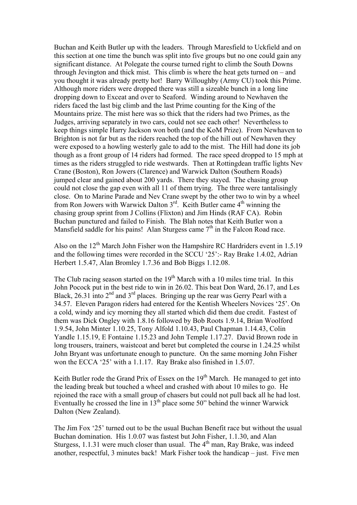Buchan and Keith Butler up with the leaders. Through Maresfield to Uckfield and on this section at one time the bunch was split into five groups but no one could gain any significant distance. At Polegate the course turned right to climb the South Downs through Jevington and thick mist. This climb is where the heat gets turned on – and you thought it was already pretty hot! Barry Willoughby (Army CU) took this Prime. Although more riders were dropped there was still a sizeable bunch in a long line dropping down to Exceat and over to Seaford. Winding around to Newhaven the riders faced the last big climb and the last Prime counting for the King of the Mountains prize. The mist here was so thick that the riders had two Primes, as the Judges, arriving separately in two cars, could not see each other! Nevertheless to keep things simple Harry Jackson won both (and the KoM Prize). From Newhaven to Brighton is not far but as the riders reached the top of the hill out of Newhaven they were exposed to a howling westerly gale to add to the mist. The Hill had done its job though as a front group of 14 riders had formed. The race speed dropped to 15 mph at times as the riders struggled to ride westwards. Then at Rottingdean traffic lights Nev Crane (Boston), Ron Jowers (Clarence) and Warwick Dalton (Southern Roads) jumped clear and gained about 200 yards. There they stayed. The chasing group could not close the gap even with all 11 of them trying. The three were tantalisingly close. On to Marine Parade and Nev Crane swept by the other two to win by a wheel from Ron Jowers with Warwick Dalton  $3<sup>rd</sup>$ . Keith Butler came  $4<sup>th</sup>$  winning the chasing group sprint from J Collins (Flixton) and Jim Hinds (RAF CA). Robin Buchan punctured and failed to Finish. The Blah notes that Keith Butler won a Mansfield saddle for his pains! Alan Sturgess came  $7<sup>th</sup>$  in the Falcon Road race.

Also on the  $12<sup>th</sup>$  March John Fisher won the Hampshire RC Hardriders event in 1.5.19 and the following times were recorded in the SCCU '25':- Ray Brake 1.4.02, Adrian Herbert 1.5.47, Alan Bromley 1.7.36 and Bob Biggs 1.12.08.

The Club racing season started on the  $19<sup>th</sup>$  March with a 10 miles time trial. In this John Pocock put in the best ride to win in 26.02. This beat Don Ward, 26.17, and Les Black, 26.31 into  $2<sup>nd</sup>$  and  $3<sup>rd</sup>$  places. Bringing up the rear was Gerry Pearl with a 34.57. Eleven Paragon riders had entered for the Kentish Wheelers Novices '25'. On a cold, windy and icy morning they all started which did them due credit. Fastest of them was Dick Ongley with 1.8.16 followed by Bob Roots 1.9.14, Brian Woolford 1.9.54, John Minter 1.10.25, Tony Alfold 1.10.43, Paul Chapman 1.14.43, Colin Yandle 1.15.19, E Fontaine 1.15.23 and John Temple 1.17.27. David Brown rode in long trousers, trainers, waistcoat and beret but completed the course in 1.24.25 whilst John Bryant was unfortunate enough to puncture. On the same morning John Fisher won the ECCA '25' with a 1.1.17. Ray Brake also finished in 1.5.07.

Keith Butler rode the Grand Prix of Essex on the  $19<sup>th</sup>$  March. He managed to get into the leading break but touched a wheel and crashed with about 10 miles to go. He rejoined the race with a small group of chasers but could not pull back all he had lost. Eventually he crossed the line in  $13<sup>th</sup>$  place some 50" behind the winner Warwick Dalton (New Zealand).

The Jim Fox '25' turned out to be the usual Buchan Benefit race but without the usual Buchan domination. His 1.0.07 was fastest but John Fisher, 1.1.30, and Alan Sturgess, 1.1.31 were much closer than usual. The  $4<sup>th</sup>$  man, Ray Brake, was indeed another, respectful, 3 minutes back! Mark Fisher took the handicap – just. Five men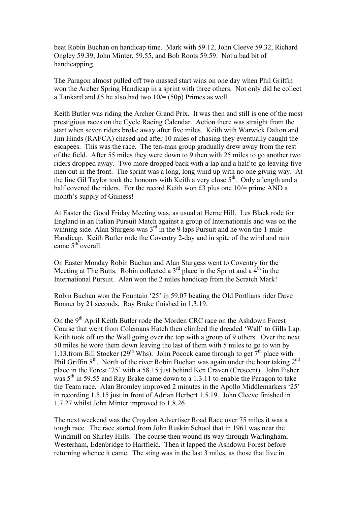beat Robin Buchan on handicap time. Mark with 59.12, John Cleeve 59.32, Richard Ongley 59.39, John Minter, 59.55, and Bob Roots 59.59. Not a bad bit of handicapping.

The Paragon almost pulled off two massed start wins on one day when Phil Griffin won the Archer Spring Handicap in a sprint with three others. Not only did he collect a Tankard and £5 he also had two  $10/(50p)$  Primes as well.

Keith Butler was riding the Archer Grand Prix. It was then and still is one of the most prestigious races on the Cycle Racing Calendar. Action there was straight from the start when seven riders broke away after five miles. Keith with Warwick Dalton and Jim Hinds (RAFCA) chased and after 10 miles of chasing they eventually caught the escapees. This was the race. The ten-man group gradually drew away from the rest of the field. After 55 miles they were down to 9 then with 25 miles to go another two riders dropped away. Two more dropped back with a lap and a half to go leaving five men out in the front. The sprint was a long, long wind up with no one giving way. At the line Gil Taylor took the honours with Keith a very close  $5<sup>th</sup>$ . Only a length and a half covered the riders. For the record Keith won £3 plus one  $10/=\text{prime AND a}$ month's supply of Guiness!

At Easter the Good Friday Meeting was, as usual at Herne Hill. Les Black rode for England in an Italian Pursuit Match against a group of Internationals and was on the winning side. Alan Sturgess was  $3<sup>rd</sup>$  in the 9 laps Pursuit and he won the 1-mile Handicap. Keith Butler rode the Coventry 2-day and in spite of the wind and rain came  $5<sup>th</sup>$  overall.

On Easter Monday Robin Buchan and Alan Sturgess went to Coventry for the Meeting at The Butts. Robin collected a  $3<sup>rd</sup>$  place in the Sprint and a  $4<sup>th</sup>$  in the International Pursuit. Alan won the 2 miles handicap from the Scratch Mark!

Robin Buchan won the Fountain '25' in 59.07 beating the Old Portlians rider Dave Bonner by 21 seconds. Ray Brake finished in 1.3.19.

On the 9<sup>th</sup> April Keith Butler rode the Morden CRC race on the Ashdown Forest Course that went from Colemans Hatch then climbed the dreaded 'Wall' to Gills Lap. Keith took off up the Wall going over the top with a group of 9 others. Over the next 50 miles he wore them down leaving the last of them with 5 miles to go to win by 1.13. from Bill Stocker (29<sup>th</sup> Whs). John Pocock came through to get  $7<sup>th</sup>$  place with Phil Griffin 8<sup>th</sup>. North of the river Robin Buchan was again under the hour taking 2<sup>nd</sup> place in the Forest '25' with a 58.15 just behind Ken Craven (Crescent). John Fisher was  $5<sup>th</sup>$  in 59.55 and Ray Brake came down to a 1.3.11 to enable the Paragon to take the Team race. Alan Bromley improved 2 minutes in the Apollo Middlemarkers '25' in recording 1.5.15 just in front of Adrian Herbert 1.5.19. John Cleeve finished in 1.7.27 whilst John Minter improved to 1.8.26.

The next weekend was the Croydon Advertiser Road Race over 75 miles it was a tough race. The race started from John Ruskin School that in 1961 was near the Windmill on Shirley Hills. The course then wound its way through Warlingham, Westerham, Edenbridge to Hartfield. Then it lapped the Ashdown Forest before returning whence it came. The sting was in the last 3 miles, as those that live in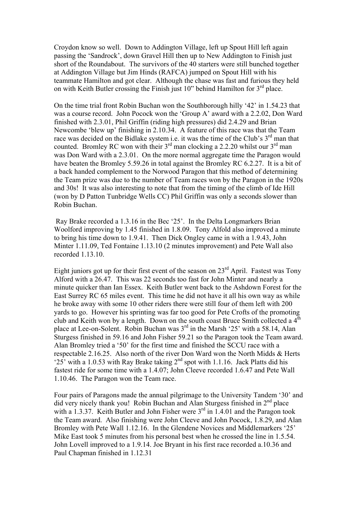Croydon know so well. Down to Addington Village, left up Spout Hill left again passing the 'Sandrock', down Gravel Hill then up to New Addington to Finish just short of the Roundabout. The survivors of the 40 starters were still bunched together at Addington Village but Jim Hinds (RAFCA) jumped on Spout Hill with his teammate Hamilton and got clear. Although the chase was fast and furious they held on with Keith Butler crossing the Finish just  $10$ " behind Hamilton for  $3<sup>rd</sup>$  place.

On the time trial front Robin Buchan won the Southborough hilly '42' in 1.54.23 that was a course record. John Pocock won the 'Group A' award with a 2.2.02, Don Ward finished with 2.3.01, Phil Griffin (riding high pressures) did 2.4.29 and Brian Newcombe 'blew up' finishing in 2.10.34. A feature of this race was that the Team race was decided on the Bidlake system i.e. it was the time of the Club's  $3<sup>rd</sup>$  man that counted. Bromley RC won with their  $3^{rd}$  man clocking a 2.2.20 whilst our  $3^{rd}$  man was Don Ward with a 2.3.01. On the more normal aggregate time the Paragon would have beaten the Bromley 5.59.26 in total against the Bromley RC 6.2.27. It is a bit of a back handed complement to the Norwood Paragon that this method of determining the Team prize was due to the number of Team races won by the Paragon in the 1920s and 30s! It was also interesting to note that from the timing of the climb of Ide Hill (won by D Patton Tunbridge Wells CC) Phil Griffin was only a seconds slower than Robin Buchan.

 Ray Brake recorded a 1.3.16 in the Bec '25'. In the Delta Longmarkers Brian Woolford improving by 1.45 finished in 1.8.09. Tony Alfold also improved a minute to bring his time down to 1.9.41. Then Dick Ongley came in with a 1.9.43, John Minter 1.11.09, Ted Fontaine 1.13.10 (2 minutes improvement) and Pete Wall also recorded 1.13.10.

Eight juniors got up for their first event of the season on  $23<sup>rd</sup>$  April. Fastest was Tony Alford with a 26.47. This was 22 seconds too fast for John Minter and nearly a minute quicker than Ian Essex. Keith Butler went back to the Ashdown Forest for the East Surrey RC 65 miles event. This time he did not have it all his own way as while he broke away with some 10 other riders there were still four of them left with 200 yards to go. However his sprinting was far too good for Pete Crofts of the promoting club and Keith won by a length. Down on the south coast Bruce Smith collected a 4<sup>th</sup> place at Lee-on-Solent. Robin Buchan was 3<sup>rd</sup> in the Marsh '25' with a 58.14, Alan Sturgess finished in 59.16 and John Fisher 59.21 so the Paragon took the Team award. Alan Bromley tried a '50' for the first time and finished the SCCU race with a respectable 2.16.25. Also north of the river Don Ward won the North Midds & Herts ' $25'$ ' with a 1.0.53 with Ray Brake taking  $2<sup>nd</sup>$  spot with 1.1.16. Jack Platts did his fastest ride for some time with a 1.4.07; John Cleeve recorded 1.6.47 and Pete Wall 1.10.46. The Paragon won the Team race.

Four pairs of Paragons made the annual pilgrimage to the University Tandem '30' and did very nicely thank you! Robin Buchan and Alan Sturgess finished in  $2<sup>nd</sup>$  place with a 1.3.37. Keith Butler and John Fisher were  $3<sup>rd</sup>$  in 1.4.01 and the Paragon took the Team award. Also finishing were John Cleeve and John Pocock, 1.8.29, and Alan Bromley with Pete Wall 1.12.16. In the Glendene Novices and Middlemarkers '25' Mike East took 5 minutes from his personal best when he crossed the line in 1.5.54. John Lovell improved to a 1.9.14. Joe Bryant in his first race recorded a.10.36 and Paul Chapman finished in 1.12.31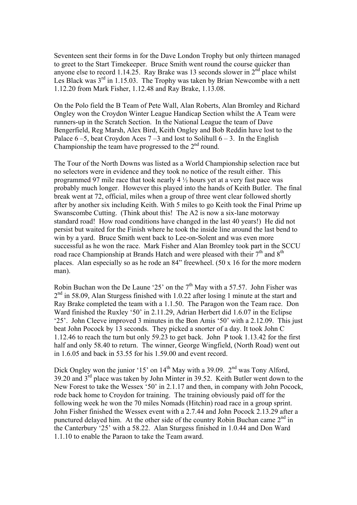Seventeen sent their forms in for the Dave London Trophy but only thirteen managed to greet to the Start Timekeeper. Bruce Smith went round the course quicker than anyone else to record 1.14.25. Ray Brake was 13 seconds slower in  $2<sup>nd</sup>$  place whilst Les Black was  $3<sup>rd</sup>$  in 1.15.03. The Trophy was taken by Brian Newcombe with a nett 1.12.20 from Mark Fisher, 1.12.48 and Ray Brake, 1.13.08.

On the Polo field the B Team of Pete Wall, Alan Roberts, Alan Bromley and Richard Ongley won the Croydon Winter League Handicap Section whilst the A Team were runners-up in the Scratch Section. In the National League the team of Dave Bengerfield, Reg Marsh, Alex Bird, Keith Ongley and Bob Reddin have lost to the Palace  $6-5$ , beat Croydon Aces  $7-3$  and lost to Solihull  $6-3$ . In the English Championship the team have progressed to the  $2<sup>nd</sup>$  round.

The Tour of the North Downs was listed as a World Championship selection race but no selectors were in evidence and they took no notice of the result either. This programmed 97 mile race that took nearly 4 ½ hours yet at a very fast pace was probably much longer. However this played into the hands of Keith Butler. The final break went at 72, official, miles when a group of three went clear followed shortly after by another six including Keith. With 5 miles to go Keith took the Final Prime up Swanscombe Cutting. (Think about this! The A2 is now a six-lane motorway standard road! How road conditions have changed in the last 40 years!) He did not persist but waited for the Finish where he took the inside line around the last bend to win by a yard. Bruce Smith went back to Lee-on-Solent and was even more successful as he won the race. Mark Fisher and Alan Bromley took part in the SCCU road race Championship at Brands Hatch and were pleased with their  $7<sup>th</sup>$  and  $8<sup>th</sup>$ places. Alan especially so as he rode an 84" freewheel. (50 x 16 for the more modern man).

Robin Buchan won the De Laune '25' on the  $7<sup>th</sup>$  May with a 57.57. John Fisher was  $2<sup>nd</sup>$  in 58.09, Alan Sturgess finished with 1.0.22 after losing 1 minute at the start and Ray Brake completed the team with a 1.1.50. The Paragon won the Team race. Don Ward finished the Ruxley '50' in 2.11.29, Adrian Herbert did 1.6.07 in the Eclipse '25'. John Cleeve improved 3 minutes in the Bon Amis '50' with a 2.12.09. This just beat John Pocock by 13 seconds. They picked a snorter of a day. It took John C 1.12.46 to reach the turn but only 59.23 to get back. John P took 1.13.42 for the first half and only 58.40 to return. The winner, George Wingfield, (North Road) went out in 1.6.05 and back in 53.55 for his 1.59.00 and event record.

Dick Ongley won the junior '15' on  $14<sup>th</sup>$  May with a 39.09.  $2<sup>nd</sup>$  was Tony Alford,  $39.20$  and  $3<sup>rd</sup>$  place was taken by John Minter in 39.52. Keith Butler went down to the New Forest to take the Wessex '50' in 2.1.17 and then, in company with John Pocock, rode back home to Croydon for training. The training obviously paid off for the following week he won the 70 miles Nomads (Hitchin) road race in a group sprint. John Fisher finished the Wessex event with a 2.7.44 and John Pocock 2.13.29 after a punctured delayed him. At the other side of the country Robin Buchan came  $2<sup>nd</sup>$  in the Canterbury '25' with a 58.22. Alan Sturgess finished in 1.0.44 and Don Ward 1.1.10 to enable the Paraon to take the Team award.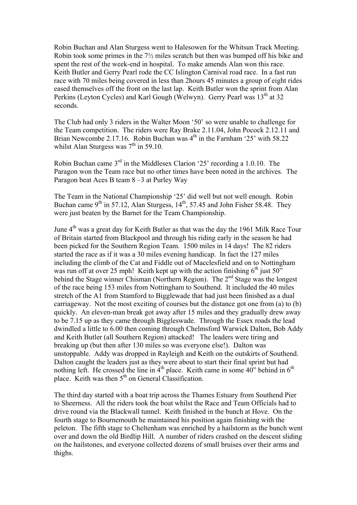Robin Buchan and Alan Sturgess went to Halesowen for the Whitsun Track Meeting. Robin took some primes in the 7½ miles scratch but then was bumped off his bike and spent the rest of the week-end in hospital. To make amends Alan won this race. Keith Butler and Gerry Pearl rode the CC Islington Carnival road race. In a fast run race with 70 miles being covered in less than 2hours 45 minutes a group of eight rides eased themselves off the front on the last lap. Keith Butler won the sprint from Alan Perkins (Leyton Cycles) and Karl Gough (Welwyn). Gerry Pearl was 13<sup>th</sup> at 32 seconds.

The Club had only 3 riders in the Walter Moon '50' so were unable to challenge for the Team competition. The riders were Ray Brake 2.11.04, John Pocock 2.12.11 and Brian Newcombe 2.17.16. Robin Buchan was 4<sup>th</sup> in the Farnham '25' with 58.22 whilst Alan Sturgess was  $7<sup>th</sup>$  in 59.10.

Robin Buchan came  $3<sup>rd</sup>$  in the Middlesex Clarion '25' recording a 1.0.10. The Paragon won the Team race but no other times have been noted in the archives. The Paragon beat Aces B team 8 –3 at Purley Way

The Team in the National Championship '25' did well but not well enough. Robin Buchan came  $9^{th}$  in 57.12, Alan Sturgess,  $14^{th}$ , 57.45 and John Fisher 58.48. They were just beaten by the Barnet for the Team Championship.

June 4<sup>th</sup> was a great day for Keith Butler as that was the day the 1961 Milk Race Tour of Britain started from Blackpool and through his riding early in the season he had been picked for the Southern Region Team. 1500 miles in 14 days! The 82 riders started the race as if it was a 30 miles evening handicap. In fact the 127 miles including the climb of the Cat and Fiddle out of Macclesfield and on to Nottingham was run off at over 25 mph! Keith kept up with the action finishing  $6<sup>th</sup>$  just 50" behind the Stage winner Chisman (Northern Region). The  $2<sup>nd</sup>$  Stage was the longest of the race being 153 miles from Nottingham to Southend. It included the 40 miles stretch of the A1 from Stamford to Bigglewade that had just been finished as a dual carriageway. Not the most exciting of courses but the distance got one from (a) to (b) quickly. An eleven-man break got away after 15 miles and they gradually drew away to be 7.15 up as they came through Biggleswade. Through the Essex roads the lead dwindled a little to 6.00 then coming through Chelmsford Warwick Dalton, Bob Addy and Keith Butler (all Southern Region) attacked! The leaders were tiring and breaking up (but then after 130 miles so was everyone else!). Dalton was unstoppable. Addy was dropped in Rayleigh and Keith on the outskirts of Southend. Dalton caught the leaders just as they were about to start their final sprint but had nothing left. He crossed the line in  $4<sup>th</sup>$  place. Keith came in some  $40$ " behind in  $6<sup>th</sup>$ place. Keith was then  $5<sup>th</sup>$  on General Classification.

The third day started with a boat trip across the Thames Estuary from Southend Pier to Sheerness. All the riders took the boat whilst the Race and Team Officials had to drive round via the Blackwall tunnel. Keith finished in the bunch at Hove. On the fourth stage to Bournemouth he maintained his position again finishing with the peleton. The fifth stage to Cheltenham was enriched by a hailstorm as the bunch went over and down the old Birdlip Hill. A number of riders crashed on the descent sliding on the hailstones, and everyone collected dozens of small bruises over their arms and thighs.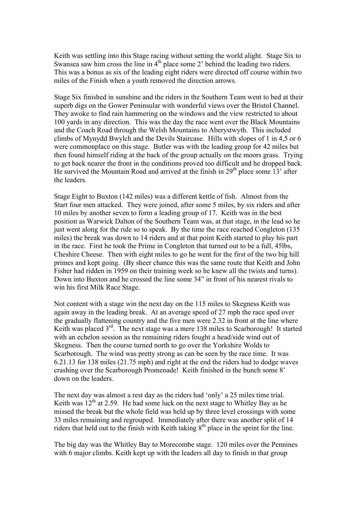Keith was settling into this Stage racing without setting the world alight. Stage Six to Swansea saw him cross the line in  $4<sup>th</sup>$  place some 2' behind the leading two riders. This was a bonus as six of the leading eight riders were directed off course within two miles of the Finish when a youth removed the direction arrows.

Stage Six finished in sunshine and the riders in the Southern Team went to bed at their superb digs on the Gower Peninsular with wonderful views over the Bristol Channel. They awoke to find rain hammering on the windows and the view restricted to about 100 yards in any direction. This was the day the race went over the Black Mountains and the Coach Road through the Welsh Mountains to Aberystwyth. This included climbs of Mynydd Bwylch and the Devils Staircase. Hills with slopes of 1 in 4,5 or 6 were commonplace on this stage. Butler was with the leading group for 42 miles but then found himself riding at the back of the group actually on the moors grass. Trying to get back nearer the front in the conditions proved too difficult and he dropped back. He survived the Mountain Road and arrived at the finish in  $29<sup>th</sup>$  place some 13' after the leaders.

Stage Eight to Buxton (142 miles) was a different kettle of fish. Almost from the Start four men attacked. They were joined, after some 5 miles, by six riders and after 10 miles by another seven to form a leading group of 17. Keith was in the best position as Warwick Dalton of the Southern Team was, at that stage, in the lead so he just went along for the ride so to speak. By the time the race reached Congleton (135 miles) the break was down to 14 riders and at that point Keith started to play his part in the race. First he took the Prime in Congleton that turned out to be a full, 45lbs, Cheshire Cheese. Then with eight miles to go he went for the first of the two big hill primes and kept going. (By sheer chance this was the same route that Keith and John Fisher had ridden in 1959 on their training week so he knew all the twists and turns). Down into Buxton and he crossed the line some 34" in front of his nearest rivals to win his first Milk Race Stage.

Not content with a stage win the next day on the 115 miles to Skegness Keith was again away in the leading break. At an average speed of 27 mph the race sped over the gradually flattening country and the five men were 2.32 in front at the line where Keith was placed 3<sup>rd</sup>. The next stage was a mere 138 miles to Scarborough! It started with an echelon session as the remaining riders fought a head/side wind out of Skegness. Then the course turned north to go over the Yorkshire Wolds to Scarborough. The wind was pretty strong as can be seen by the race time. It was 6.21.13 for 138 miles (21.75 mph) and right at the end the riders had to dodge waves crashing over the Scarborough Promenade! Keith finished in the bunch some 8' down on the leaders.

The next day was almost a rest day as the riders had 'only' a 25 miles time trial. Keith was  $12<sup>th</sup>$  at 2.59. He had some luck on the next stage to Whitley Bay as he missed the break but the whole field was held up by three level crossings with some 33 miles remaining and regrouped. Immediately after there was another split of 14 riders that held out to the finish with Keith taking  $8<sup>th</sup>$  place in the sprint for the line.

The big day was the Whitley Bay to Morecombe stage. 120 miles over the Pennines with 6 major climbs. Keith kept up with the leaders all day to finish in that group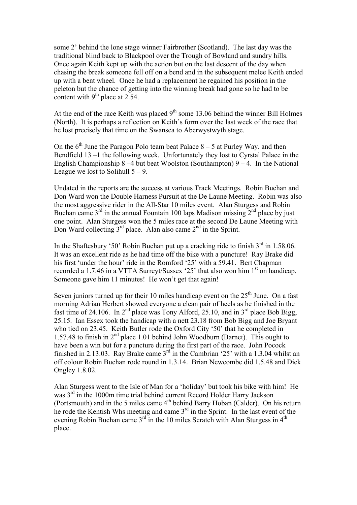some 2' behind the lone stage winner Fairbrother (Scotland). The last day was the traditional blind back to Blackpool over the Trough of Bowland and sundry hills. Once again Keith kept up with the action but on the last descent of the day when chasing the break someone fell off on a bend and in the subsequent melee Keith ended up with a bent wheel. Once he had a replacement he regained his position in the peleton but the chance of getting into the winning break had gone so he had to be content with  $9<sup>th</sup>$  place at 2.54.

At the end of the race Keith was placed  $9<sup>th</sup>$  some 13.06 behind the winner Bill Holmes (North). It is perhaps a reflection on Keith's form over the last week of the race that he lost precisely that time on the Swansea to Aberwystwyth stage.

On the  $6<sup>th</sup>$  June the Paragon Polo team beat Palace  $8-5$  at Purley Way. and then Bendfield 13 –1 the following week. Unfortunately they lost to Cyrstal Palace in the English Championship  $8-4$  but beat Woolston (Southampton)  $9-4$ . In the National League we lost to Solihull  $5 - 9$ .

Undated in the reports are the success at various Track Meetings. Robin Buchan and Don Ward won the Double Harness Pursuit at the De Laune Meeting. Robin was also the most aggressive rider in the All-Star 10 miles event. Alan Sturgess and Robin Buchan came  $3<sup>rd</sup>$  in the annual Fountain 100 laps Madison missing  $2<sup>nd</sup>$  place by just one point. Alan Sturgess won the 5 miles race at the second De Laune Meeting with Don Ward collecting  $3<sup>rd</sup>$  place. Alan also came  $2<sup>nd</sup>$  in the Sprint.

In the Shaftesbury '50' Robin Buchan put up a cracking ride to finish  $3<sup>rd</sup>$  in 1.58.06. It was an excellent ride as he had time off the bike with a puncture! Ray Brake did his first 'under the hour' ride in the Romford '25' with a 59.41. Bert Chapman recorded a 1.7.46 in a VTTA Surreyt/Sussex '25' that also won him 1<sup>st</sup> on handicap. Someone gave him 11 minutes! He won't get that again!

Seven juniors turned up for their 10 miles handicap event on the  $25<sup>th</sup>$  June. On a fast morning Adrian Herbert showed everyone a clean pair of heels as he finished in the fast time of 24.106. In  $2<sup>nd</sup>$  place was Tony Alford, 25.10, and in  $3<sup>rd</sup>$  place Bob Bigg, 25.15. Ian Essex took the handicap with a nett 23.18 from Bob Bigg and Joe Bryant who tied on 23.45. Keith Butler rode the Oxford City '50' that he completed in 1.57.48 to finish in  $2<sup>nd</sup>$  place 1.01 behind John Woodburn (Barnet). This ought to have been a win but for a puncture during the first part of the race. John Pocock finished in 2.13.03. Ray Brake came  $3<sup>rd</sup>$  in the Cambrian '25' with a 1.3.04 whilst an off colour Robin Buchan rode round in 1.3.14. Brian Newcombe did 1.5.48 and Dick Ongley 1.8.02.

Alan Sturgess went to the Isle of Man for a 'holiday' but took his bike with him! He was 3<sup>rd</sup> in the 1000m time trial behind current Record Holder Harry Jackson (Portsmouth) and in the 5 miles came  $4<sup>th</sup>$  behind Barry Hoban (Calder). On his return he rode the Kentish Whs meeting and came 3<sup>rd</sup> in the Sprint. In the last event of the evening Robin Buchan came  $3<sup>rd</sup>$  in the 10 miles Scratch with Alan Sturgess in  $4<sup>th</sup>$ place.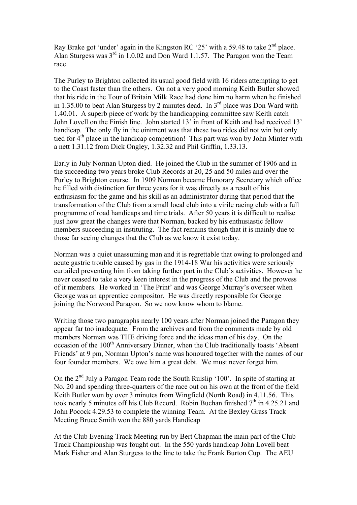Ray Brake got 'under' again in the Kingston RC '25' with a 59.48 to take 2<sup>nd</sup> place. Alan Sturgess was  $3<sup>rd</sup>$  in 1.0.02 and Don Ward 1.1.57. The Paragon won the Team race.

The Purley to Brighton collected its usual good field with 16 riders attempting to get to the Coast faster than the others. On not a very good morning Keith Butler showed that his ride in the Tour of Britain Milk Race had done him no harm when he finished in 1.35.00 to beat Alan Sturgess by 2 minutes dead. In  $3<sup>rd</sup>$  place was Don Ward with 1.40.01. A superb piece of work by the handicapping committee saw Keith catch John Lovell on the Finish line. John started 13' in front of Keith and had received 13' handicap. The only fly in the ointment was that these two rides did not win but only tied for  $4<sup>th</sup>$  place in the handicap competition! This part was won by John Minter with a nett 1.31.12 from Dick Ongley, 1.32.32 and Phil Griffin, 1.33.13.

Early in July Norman Upton died. He joined the Club in the summer of 1906 and in the succeeding two years broke Club Records at 20, 25 and 50 miles and over the Purley to Brighton course. In 1909 Norman became Honorary Secretary which office he filled with distinction for three years for it was directly as a result of his enthusiasm for the game and his skill as an administrator during that period that the transformation of the Club from a small local club into a virile racing club with a full programme of road handicaps and time trials. After 50 years it is difficult to realise just how great the changes were that Norman, backed by his enthusiastic fellow members succeeding in instituting. The fact remains though that it is mainly due to those far seeing changes that the Club as we know it exist today.

Norman was a quiet unassuming man and it is regrettable that owing to prolonged and acute gastric trouble caused by gas in the 1914-18 War his activities were seriously curtailed preventing him from taking further part in the Club's activities. However he never ceased to take a very keen interest in the progress of the Club and the prowess of it members. He worked in 'The Print' and was George Murray's overseer when George was an apprentice compositor. He was directly responsible for George joining the Norwood Paragon. So we now know whom to blame.

Writing those two paragraphs nearly 100 years after Norman joined the Paragon they appear far too inadequate. From the archives and from the comments made by old members Norman was THE driving force and the ideas man of his day. On the occasion of the 100<sup>th</sup> Anniversary Dinner, when the Club traditionally toasts 'Absent Friends' at 9 pm, Norman Upton's name was honoured together with the names of our four founder members. We owe him a great debt. We must never forget him.

On the 2nd July a Paragon Team rode the South Ruislip '100'. In spite of starting at No. 20 and spending three-quarters of the race out on his own at the front of the field Keith Butler won by over 3 minutes from Wingfield (North Road) in 4.11.56. This took nearly 5 minutes off his Club Record. Robin Buchan finished  $7<sup>th</sup>$  in 4.25.21 and John Pocock 4.29.53 to complete the winning Team. At the Bexley Grass Track Meeting Bruce Smith won the 880 yards Handicap

At the Club Evening Track Meeting run by Bert Chapman the main part of the Club Track Championship was fought out. In the 550 yards handicap John Lovell beat Mark Fisher and Alan Sturgess to the line to take the Frank Burton Cup. The AEU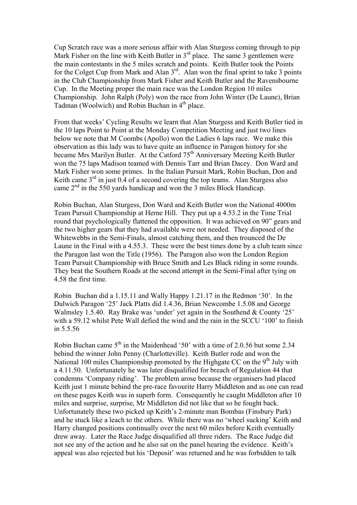Cup Scratch race was a more serious affair with Alan Sturgess coming through to pip Mark Fisher on the line with Keith Butler in  $3<sup>rd</sup>$  place. The same 3 gentlemen were the main contestants in the 5 miles scratch and points. Keith Butler took the Points for the Colget Cup from Mark and Alan  $3<sup>rd</sup>$ . Alan won the final sprint to take 3 points in the Club Championship from Mark Fisher and Keith Butler and the Ravensbourne Cup. In the Meeting proper the main race was the London Region 10 miles Championship. John Ralph (Poly) won the race from John Winter (De Laune), Brian Tadman (Woolwich) and Robin Buchan in 4<sup>th</sup> place.

From that weeks' Cycling Results we learn that Alan Sturgess and Keith Butler tied in the 10 laps Point to Point at the Monday Competition Meeting and just two lines below we note that M Coombs (Apollo) won the Ladies 6 laps race. We make this observation as this lady was to have quite an influence in Paragon history for she became Mrs Marilyn Butler. At the Catford 75<sup>th</sup> Anniversary Meeting Keith Butler won the 75 laps Madison teamed with Dennis Tarr and Brian Dacey. Don Ward and Mark Fisher won some primes. In the Italian Pursuit Mark, Robin Buchan, Don and Keith came  $3<sup>rd</sup>$  in just 0.4 of a second covering the top teams. Alan Sturgess also came 2nd in the 550 yards handicap and won the 3 miles Block Handicap.

Robin Buchan, Alan Sturgess, Don Ward and Keith Butler won the National 4000m Team Pursuit Championship at Herne Hill. They put up a 4.53.2 in the Time Trial round that psychologically flattened the opposition. It was achieved on 90" gears and the two higher gears that they had available were not needed. They disposed of the Whitewebbs in the Semi-Finals, almost catching them, and then trounced the De Laune in the Final with a 4.55.3. These were the best times done by a club team since the Paragon last won the Title (1956). The Paragon also won the London Region Team Pursuit Championship with Bruce Smith and Les Black riding in some rounds. They beat the Southern Roads at the second attempt in the Semi-Final after tying on 4.58 the first time.

Robin Buchan did a 1.15.11 and Wally Happy 1.21.17 in the Redmon '30'. In the Dulwich Paragon '25' Jack Platts did 1.4.36, Brian Newcombe 1.5.08 and George Walmsley 1.5.40. Ray Brake was 'under' yet again in the Southend & County '25' with a 59.12 whilst Pete Wall defied the wind and the rain in the SCCU '100' to finish in 5.5.56

Robin Buchan came  $5<sup>th</sup>$  in the Maidenhead '50' with a time of 2.0.56 but some 2.34 behind the winner John Penny (Charlotteville). Keith Butler rode and won the National 100 miles Championship promoted by the Highgate CC on the  $9<sup>th</sup>$  July with a 4.11.50. Unfortunately he was later disqualified for breach of Regulation 44 that condemns 'Company riding'. The problem arose because the organisers had placed Keith just 1 minute behind the pre-race favourite Harry Middleton and as one can read on these pages Keith was in superb form. Consequently he caught Middleton after 10 miles and surprise, surprise, Mr Middleton did not like that so he fought back. Unfortunately these two picked up Keith's 2-minute man Bombas (Finsbury Park) and he stuck like a leach to the others. While there was no 'wheel sucking' Keith and Harry changed positions continually over the next 60 miles before Keith eventually drew away. Later the Race Judge disqualified all three riders. The Race Judge did not see any of the action and he also sat on the panel hearing the evidence. Keith's appeal was also rejected but his 'Deposit' was returned and he was forbidden to talk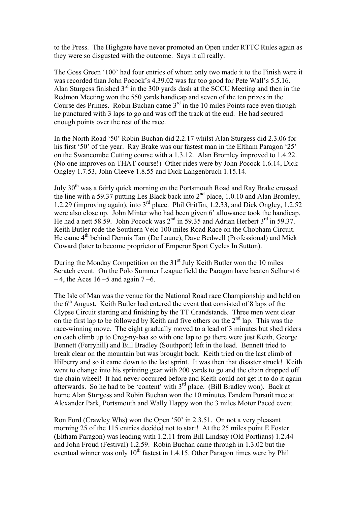to the Press. The Highgate have never promoted an Open under RTTC Rules again as they were so disgusted with the outcome. Says it all really.

The Goss Green '100' had four entries of whom only two made it to the Finish were it was recorded than John Pocock's 4.39.02 was far too good for Pete Wall's 5.5.16. Alan Sturgess finished  $3<sup>rd</sup>$  in the 300 yards dash at the SCCU Meeting and then in the Redmon Meeting won the 550 yards handicap and seven of the ten prizes in the Course des Primes. Robin Buchan came  $3<sup>rd</sup>$  in the 10 miles Points race even though he punctured with 3 laps to go and was off the track at the end. He had secured enough points over the rest of the race.

In the North Road '50' Robin Buchan did 2.2.17 whilst Alan Sturgess did 2.3.06 for his first '50' of the year. Ray Brake was our fastest man in the Eltham Paragon '25' on the Swancombe Cutting course with a 1.3.12. Alan Bromley improved to 1.4.22. (No one improves on THAT course!) Other rides were by John Pocock 1.6.14, Dick Ongley 1.7.53, John Cleeve 1.8.55 and Dick Langenbruch 1.15.14.

July 30th was a fairly quick morning on the Portsmouth Road and Ray Brake crossed the line with a 59.37 putting Les Black back into  $2<sup>nd</sup>$  place, 1.0.10 and Alan Bromley, 1.2.29 (improving again), into 3rd place. Phil Griffin, 1.2.33, and Dick Ongley, 1.2.52 were also close up. John Minter who had been given 6' allowance took the handicap. He had a nett 58.59. John Pocock was  $2^{nd}$  in 59.35 and Adrian Herbert  $3^{rd}$  in 59.37. Keith Butler rode the Southern Velo 100 miles Road Race on the Chobham Circuit. He came 4<sup>th</sup> behind Dennis Tarr (De Laune), Dave Bedwell (Professional) and Mick Coward (later to become proprietor of Emperor Sport Cycles In Sutton).

During the Monday Competition on the  $31<sup>st</sup>$  July Keith Butler won the 10 miles Scratch event. On the Polo Summer League field the Paragon have beaten Selhurst 6  $-4$ , the Aces 16 –5 and again 7 –6.

The Isle of Man was the venue for the National Road race Championship and held on the  $6<sup>th</sup>$  August. Keith Butler had entered the event that consisted of 8 laps of the Clypse Circuit starting and finishing by the TT Grandstands. Three men went clear on the first lap to be followed by Keith and five others on the  $2<sup>nd</sup>$  lap. This was the race-winning move. The eight gradually moved to a lead of 3 minutes but shed riders on each climb up to Creg-ny-baa so with one lap to go there were just Keith, George Bennett (Ferryhill) and Bill Bradley (Southport) left in the lead. Bennett tried to break clear on the mountain but was brought back. Keith tried on the last climb of Hilberry and so it came down to the last sprint. It was then that disaster struck! Keith went to change into his sprinting gear with 200 yards to go and the chain dropped off the chain wheel! It had never occurred before and Keith could not get it to do it again afterwards. So he had to be 'content' with  $3<sup>rd</sup>$  place. (Bill Bradley won). Back at home Alan Sturgess and Robin Buchan won the 10 minutes Tandem Pursuit race at Alexander Park, Portsmouth and Wally Happy won the 3 miles Motor Paced event.

Ron Ford (Crawley Whs) won the Open '50' in 2.3.51. On not a very pleasant morning 25 of the 115 entries decided not to start! At the 25 miles point E Foster (Eltham Paragon) was leading with 1.2.11 from Bill Lindsay (Old Portlians) 1.2.44 and John Froud (Festival) 1.2.59. Robin Buchan came through in 1.3.02 but the eventual winner was only  $10^{th}$  fastest in 1.4.15. Other Paragon times were by Phil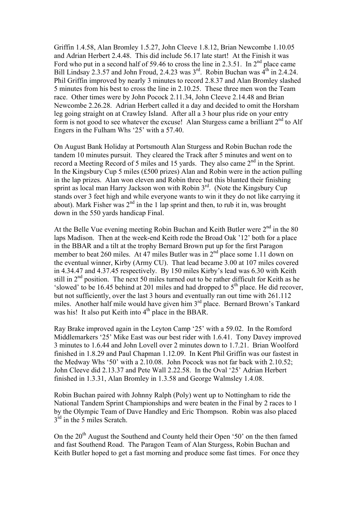Griffin 1.4.58, Alan Bromley 1.5.27, John Cleeve 1.8.12, Brian Newcombe 1.10.05 and Adrian Herbert 2.4.48. This did include 56.17 late start! At the Finish it was Ford who put in a second half of 59.46 to cross the line in 2.3.51. In  $2<sup>nd</sup>$  place came Bill Lindsay 2.3.57 and John Froud, 2.4.23 was  $3^{rd}$ . Robin Buchan was  $4^{th}$  in 2.4.24. Phil Griffin improved by nearly 3 minutes to record 2.8.37 and Alan Bromley slashed 5 minutes from his best to cross the line in 2.10.25. These three men won the Team race. Other times were by John Pocock 2.11.34, John Cleeve 2.14.48 and Brian Newcombe 2.26.28. Adrian Herbert called it a day and decided to omit the Horsham leg going straight on at Crawley Island. After all a 3 hour plus ride on your entry form is not good to see whatever the excuse! Alan Sturgess came a brilliant  $2<sup>nd</sup>$  to Alf Engers in the Fulham Whs '25' with a 57.40.

On August Bank Holiday at Portsmouth Alan Sturgess and Robin Buchan rode the tandem 10 minutes pursuit. They cleared the Track after 5 minutes and went on to record a Meeting Record of 5 miles and 15 yards. They also came  $2<sup>nd</sup>$  in the Sprint. In the Kingsbury Cup 5 miles (£500 prizes) Alan and Robin were in the action pulling in the lap prizes. Alan won eleven and Robin three but this blunted their finishing sprint as local man Harry Jackson won with Robin 3<sup>rd</sup>. (Note the Kingsbury Cup) stands over 3 feet high and while everyone wants to win it they do not like carrying it about). Mark Fisher was  $2<sup>nd</sup>$  in the 1 lap sprint and then, to rub it in, was brought down in the 550 yards handicap Final.

At the Belle Vue evening meeting Robin Buchan and Keith Butler were  $2<sup>nd</sup>$  in the 80 laps Madison. Then at the week-end Keith rode the Broad Oak '12' both for a place in the BBAR and a tilt at the trophy Bernard Brown put up for the first Paragon member to beat 260 miles. At  $\overline{47}$  miles Butler was in  $2<sup>nd</sup>$  place some 1.11 down on the eventual winner, Kirby (Army CU). That lead became 3.00 at 107 miles covered in 4.34.47 and 4.37.45 respectively. By 150 miles Kirby's lead was 6.30 with Keith still in 2<sup>nd</sup> position. The next 50 miles turned out to be rather difficult for Keith as he 'slowed' to be 16.45 behind at 201 miles and had dropped to  $5<sup>th</sup>$  place. He did recover, but not sufficiently, over the last 3 hours and eventually ran out time with 261.112 miles. Another half mile would have given him 3rd place. Bernard Brown's Tankard was his! It also put Keith into  $4<sup>th</sup>$  place in the BBAR.

Ray Brake improved again in the Leyton Camp '25' with a 59.02. In the Romford Middlemarkers '25' Mike East was our best rider with 1.6.41. Tony Davey improved 3 minutes to 1.6.44 and John Lovell over 2 minutes down to 1.7.21. Brian Woolford finished in 1.8.29 and Paul Chapman 1.12.09. In Kent Phil Griffin was our fastest in the Medway Whs '50' with a 2.10.08. John Pocock was not far back with 2.10.52; John Cleeve did 2.13.37 and Pete Wall 2.22.58. In the Oval '25' Adrian Herbert finished in 1.3.31, Alan Bromley in 1.3.58 and George Walmsley 1.4.08.

Robin Buchan paired with Johnny Ralph (Poly) went up to Nottingham to ride the National Tandem Sprint Championships and were beaten in the Final by 2 races to 1 by the Olympic Team of Dave Handley and Eric Thompson. Robin was also placed  $3<sup>rd</sup>$  in the 5 miles Scratch.

On the 20<sup>th</sup> August the Southend and County held their Open '50' on the then famed and fast Southend Road. The Paragon Team of Alan Sturgess, Robin Buchan and Keith Butler hoped to get a fast morning and produce some fast times. For once they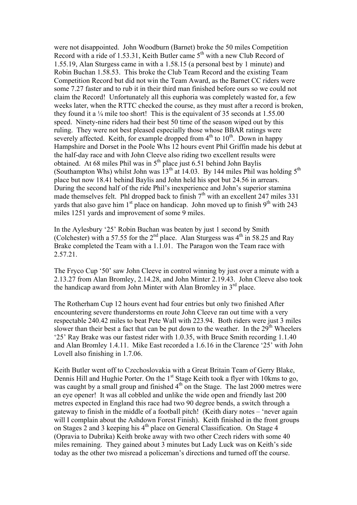were not disappointed. John Woodburn (Barnet) broke the 50 miles Competition Record with a ride of 1.53.31, Keith Butler came  $5<sup>th</sup>$  with a new Club Record of 1.55.19, Alan Sturgess came in with a 1.58.15 (a personal best by 1 minute) and Robin Buchan 1.58.53. This broke the Club Team Record and the existing Team Competition Record but did not win the Team Award, as the Barnet CC riders were some 7.27 faster and to rub it in their third man finished before ours so we could not claim the Record! Unfortunately all this euphoria was completely wasted for, a few weeks later, when the RTTC checked the course, as they must after a record is broken, they found it a ¼ mile too short! This is the equivalent of 35 seconds at 1.55.00 speed. Ninety-nine riders had their best 50 time of the season wiped out by this ruling. They were not best pleased especially those whose BBAR ratings were severely affected. Keith, for example dropped from  $4<sup>th</sup>$  to  $10<sup>th</sup>$ . Down in happy Hampshire and Dorset in the Poole Whs 12 hours event Phil Griffin made his debut at the half-day race and with John Cleeve also riding two excellent results were obtained. At 68 miles Phil was in  $5<sup>th</sup>$  place just 6.51 behind John Baylis (Southampton Whs) whilst John was  $13^{th}$  at 14.03. By 144 miles Phil was holding  $5^{th}$ place but now 18.41 behind Baylis and John held his spot but 24.56 in arrears. During the second half of the ride Phil's inexperience and John's superior stamina made themselves felt. Phl dropped back to finish  $7<sup>th</sup>$  with an excellent 247 miles 331 yards that also gave him  $1<sup>st</sup>$  place on handicap. John moved up to finish  $9<sup>th</sup>$  with 243 miles 1251 yards and improvement of some 9 miles.

In the Aylesbury '25' Robin Buchan was beaten by just 1 second by Smith (Colchester) with a 57.55 for the  $2<sup>nd</sup>$  place. Alan Sturgess was  $4<sup>th</sup>$  in 58.25 and Ray Brake completed the Team with a 1.1.01. The Paragon won the Team race with 2.57.21.

The Fryco Cup '50' saw John Cleeve in control winning by just over a minute with a 2.13.27 from Alan Bromley, 2.14.28, and John Minter 2.19.43. John Cleeve also took the handicap award from John Minter with Alan Bromley in  $3<sup>rd</sup>$  place.

The Rotherham Cup 12 hours event had four entries but only two finished After encountering severe thunderstorms en route John Cleeve ran out time with a very respectable 240.42 miles to beat Pete Wall with 223.94. Both riders were just 3 miles slower than their best a fact that can be put down to the weather. In the  $29<sup>th</sup>$  Wheelers '25' Ray Brake was our fastest rider with 1.0.35, with Bruce Smith recording 1.1.40 and Alan Bromley 1.4.11. Mike East recorded a 1.6.16 in the Clarence '25' with John Lovell also finishing in 1.7.06.

Keith Butler went off to Czechoslovakia with a Great Britain Team of Gerry Blake, Dennis Hill and Hughie Porter. On the 1<sup>st</sup> Stage Keith took a flyer with 10kms to go, was caught by a small group and finished  $4<sup>th</sup>$  on the Stage. The last 2000 metres were an eye opener! It was all cobbled and unlike the wide open and friendly last 200 metres expected in England this race had two 90 degree bends, a switch through a gateway to finish in the middle of a football pitch! (Keith diary notes – 'never again will I complain about the Ashdown Forest Finish). Keith finished in the front groups on Stages 2 and 3 keeping his  $4<sup>th</sup>$  place on General Classification. On Stage 4 (Opravia to Dubrika) Keith broke away with two other Czech riders with some 40 miles remaining. They gained about 3 minutes but Lady Luck was on Keith's side today as the other two misread a policeman's directions and turned off the course.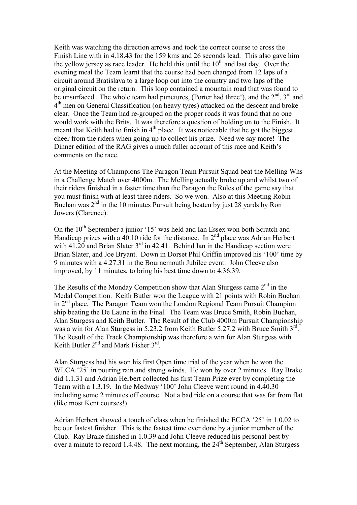Keith was watching the direction arrows and took the correct course to cross the Finish Line with in 4.18.43 for the 159 kms and 26 seconds lead. This also gave him the yellow jersey as race leader. He held this until the  $10<sup>th</sup>$  and last day. Over the evening meal the Team learnt that the course had been changed from 12 laps of a circuit around Bratislava to a large loop out into the country and two laps of the original circuit on the return. This loop contained a mountain road that was found to be unsurfaced. The whole team had punctures, (Porter had three!), and the  $2<sup>nd</sup>$ ,  $3<sup>rd</sup>$  and  $4<sup>th</sup>$  men on General Classification (on heavy tyres) attacked on the descent and broke clear. Once the Team had re-grouped on the proper roads it was found that no one would work with the Brits. It was therefore a question of holding on to the Finish. It meant that Keith had to finish in  $4<sup>th</sup>$  place. It was noticeable that he got the biggest cheer from the riders when going up to collect his prize. Need we say more! The Dinner edition of the RAG gives a much fuller account of this race and Keith's comments on the race.

At the Meeting of Champions The Paragon Team Pursuit Squad beat the Melling Whs in a Challenge Match over 4000m. The Melling actually broke up and whilst two of their riders finished in a faster time than the Paragon the Rules of the game say that you must finish with at least three riders. So we won. Also at this Meeting Robin Buchan was  $2<sup>nd</sup>$  in the 10 minutes Pursuit being beaten by just 28 yards by Ron Jowers (Clarence).

On the 10<sup>th</sup> September a junior '15' was held and Ian Essex won both Scratch and Handicap prizes with a  $40.10$  ride for the distance. In  $2<sup>nd</sup>$  place was Adrian Herbert with  $41.20$  and Brian Slater  $3<sup>rd</sup>$  in 42.41. Behind Ian in the Handicap section were Brian Slater, and Joe Bryant. Down in Dorset Phil Griffin improved his '100' time by 9 minutes with a 4.27.31 in the Bournemouth Jubilee event. John Cleeve also improved, by 11 minutes, to bring his best time down to 4.36.39.

The Results of the Monday Competition show that Alan Sturgess came  $2<sup>nd</sup>$  in the Medal Competition. Keith Butler won the League with 21 points with Robin Buchan in  $2<sup>nd</sup>$  place. The Paragon Team won the London Regional Team Pursuit Champion ship beating the De Laune in the Final. The Team was Bruce Smith, Robin Buchan, Alan Sturgess and Keith Butler. The Result of the Club 4000m Pursuit Championship was a win for Alan Sturgess in 5.23.2 from Keith Butler 5.27.2 with Bruce Smith 3<sup>rd</sup>. The Result of the Track Championship was therefore a win for Alan Sturgess with Keith Butler  $2<sup>nd</sup>$  and Mark Fisher  $3<sup>rd</sup>$ .

Alan Sturgess had his won his first Open time trial of the year when he won the WLCA '25' in pouring rain and strong winds. He won by over 2 minutes. Ray Brake did 1.1.31 and Adrian Herbert collected his first Team Prize ever by completing the Team with a 1.3.19. In the Medway '100' John Cleeve went round in 4.40.30 including some 2 minutes off course. Not a bad ride on a course that was far from flat (like most Kent courses!)

Adrian Herbert showed a touch of class when he finished the ECCA '25' in 1.0.02 to be our fastest finisher. This is the fastest time ever done by a junior member of the Club. Ray Brake finished in 1.0.39 and John Cleeve reduced his personal best by over a minute to record 1.4.48. The next morning, the 24<sup>th</sup> September, Alan Sturgess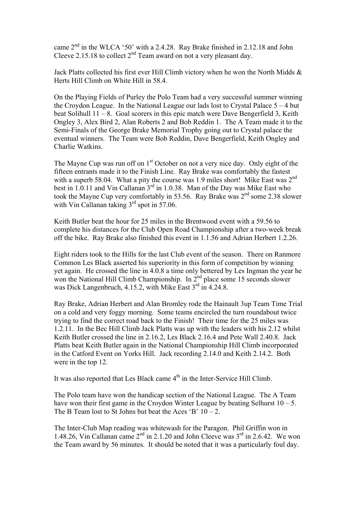came 2nd in the WLCA '50' with a 2.4.28. Ray Brake finished in 2.12.18 and John Cleeve 2.15.18 to collect  $2<sup>nd</sup>$  Team award on not a very pleasant day.

Jack Platts collected his first ever Hill Climb victory when he won the North Midds & Herts Hill Climb on White Hill in 58.4.

On the Playing Fields of Purley the Polo Team had a very successful summer winning the Croydon League. In the National League our lads lost to Crystal Palace 5 – 4 but beat Solihull 11 – 8. Goal scorers in this epic match were Dave Bengerfield 3, Keith Ongley 3, Alex Bird 2, Alan Roberts 2 and Bob Reddin 1. The A Team made it to the Semi-Finals of the George Brake Memorial Trophy going out to Crystal palace the eventual winners. The Team were Bob Reddin, Dave Bengerfield, Keith Ongley and Charlie Watkins.

The Mayne Cup was run off on  $1<sup>st</sup>$  October on not a very nice day. Only eight of the fifteen entrants made it to the Finish Line. Ray Brake was comfortably the fastest with a superb 58.04. What a pity the course was 1.9 miles short! Mike East was  $2<sup>nd</sup>$ best in 1.0.11 and Vin Callanan  $3<sup>rd</sup>$  in 1.0.38. Man of the Day was Mike East who took the Mayne Cup very comfortably in 53.56. Ray Brake was  $2<sup>nd</sup>$  some 2.38 slower with Vin Callanan taking  $3<sup>rd</sup>$  spot in 57.06.

Keith Butler beat the hour for 25 miles in the Brentwood event with a 59.56 to complete his distances for the Club Open Road Championship after a two-week break off the bike. Ray Brake also finished this event in 1.1.56 and Adrian Herbert 1.2.26.

Eight riders took to the Hills for the last Club event of the season. There on Ranmore Common Les Black asserted his superiority in this form of competition by winning yet again. He crossed the line in 4.0.8 a time only bettered by Les Ingman the year he won the National Hill Climb Championship. In 2<sup>nd</sup> place some 15 seconds slower was Dick Langenbruch, 4.15.2, with Mike East 3<sup>rd</sup> in 4.24.8.

Ray Brake, Adrian Herbert and Alan Bromley rode the Hainault 3up Team Time Trial on a cold and very foggy morning. Some teams encircled the turn roundabout twice trying to find the correct road back to the Finish! Their time for the 25 miles was 1.2.11. In the Bec Hill Climb Jack Platts was up with the leaders with his 2.12 whilst Keith Butler crossed the line in 2.16.2, Les Black 2.16.4 and Pete Wall 2.40.8. Jack Platts beat Keith Butler again in the National Championship Hill Climb incorporated in the Catford Event on Yorks Hill. Jack recording 2.14.0 and Keith 2.14.2. Both were in the top 12.

It was also reported that Les Black came  $4<sup>th</sup>$  in the Inter-Service Hill Climb.

The Polo team have won the handicap section of the National League. The A Team have won their first game in the Croydon Winter League by beating Selhurst  $10 - 5$ . The B Team lost to St Johns but beat the Aces 'B'  $10 - 2$ .

The Inter-Club Map reading was whitewash for the Paragon. Phil Griffin won in 1.48.26, Vin Callanan came  $2<sup>nd</sup>$  in 2.1.20 and John Cleeve was  $3<sup>rd</sup>$  in 2.6.42. We won the Team award by 56 minutes. It should be noted that it was a particularly foul day.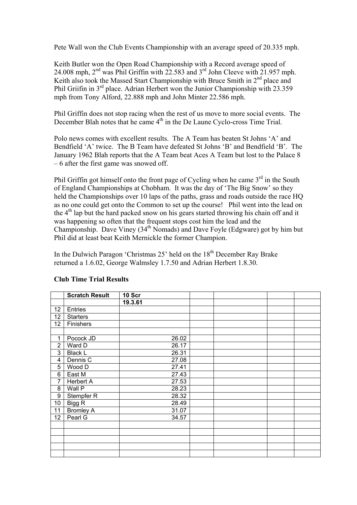Pete Wall won the Club Events Championship with an average speed of 20.335 mph.

Keith Butler won the Open Road Championship with a Record average speed of 24.008 mph,  $2<sup>nd</sup>$  was Phil Griffin with 22.583 and  $3<sup>rd</sup>$  John Cleeve with 21.957 mph. Keith also took the Massed Start Championship with Bruce Smith in 2<sup>nd</sup> place and Phil Griifin in 3rd place. Adrian Herbert won the Junior Championship with 23.359 mph from Tony Alford, 22.888 mph and John Minter 22.586 mph.

Phil Griffin does not stop racing when the rest of us move to more social events. The December Blah notes that he came  $4<sup>th</sup>$  in the De Laune Cyclo-cross Time Trial.

Polo news comes with excellent results. The A Team has beaten St Johns 'A' and Bendfield 'A' twice. The B Team have defeated St Johns 'B' and Bendfield 'B'. The January 1962 Blah reports that the A Team beat Aces A Team but lost to the Palace 8 – 6 after the first game was snowed off.

Phil Griffin got himself onto the front page of Cycling when he came  $3<sup>rd</sup>$  in the South of England Championships at Chobham. It was the day of 'The Big Snow' so they held the Championships over 10 laps of the paths, grass and roads outside the race HQ as no one could get onto the Common to set up the course! Phil went into the lead on the 4<sup>th</sup> lap but the hard packed snow on his gears started throwing his chain off and it was happening so often that the frequent stops cost him the lead and the Championship. Dave Viney (34th Nomads) and Dave Foyle (Edgware) got by him but Phil did at least beat Keith Mernickle the former Champion.

In the Dulwich Paragon 'Christmas  $25$ ' held on the  $18<sup>th</sup>$  December Ray Brake returned a 1.6.02, George Walmsley 1.7.50 and Adrian Herbert 1.8.30.

|                | <b>Scratch Result</b> | 10 Scr  |  |  |
|----------------|-----------------------|---------|--|--|
|                |                       | 19.3.61 |  |  |
| 12             | Entries               |         |  |  |
| 12             | <b>Starters</b>       |         |  |  |
| 12             | Finishers             |         |  |  |
|                |                       |         |  |  |
| 1              | Pocock JD             | 26.02   |  |  |
| $\overline{2}$ | Ward D                | 26.17   |  |  |
| 3              | <b>Black L</b>        | 26.31   |  |  |
| 4              | Dennis C              | 27.08   |  |  |
| 5              | Wood D                | 27.41   |  |  |
| 6              | East M                | 27.43   |  |  |
| 7              | Herbert A             | 27.53   |  |  |
| 8              | Wall P                | 28.23   |  |  |
| 9              | Stempfer R            | 28.32   |  |  |
| 10             | Bigg R                | 28.49   |  |  |
| 11             | <b>Bromley A</b>      | 31.07   |  |  |
| 12             | Pearl G               | 34.57   |  |  |
|                |                       |         |  |  |
|                |                       |         |  |  |
|                |                       |         |  |  |
|                |                       |         |  |  |
|                |                       |         |  |  |

## **Club Time Trial Results**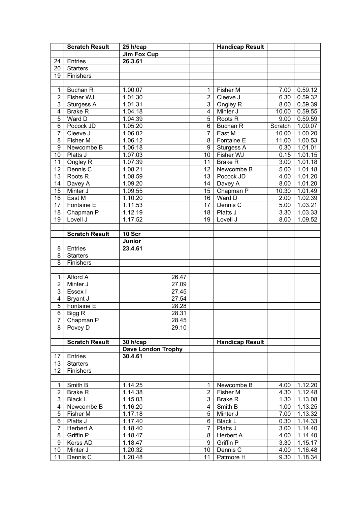|                | <b>Scratch Result</b> | 25 h/cap           |                | <b>Handicap Result</b> |         |         |
|----------------|-----------------------|--------------------|----------------|------------------------|---------|---------|
|                |                       | <b>Jim Fox Cup</b> |                |                        |         |         |
| 24             | <b>Entries</b>        | 26.3.61            |                |                        |         |         |
| 20             | <b>Starters</b>       |                    |                |                        |         |         |
| 19             | Finishers             |                    |                |                        |         |         |
|                |                       |                    |                |                        |         |         |
| 1              | Buchan R              | 1.00.07            | 1              | Fisher M               | 7.00    | 0.59.12 |
| $\overline{2}$ | Fisher WJ             | 1.01.30            | $\overline{2}$ | Cleeve J               | 6.30    | 0.59.32 |
| 3              | Sturgess A            | 1.01.31            | 3              | Ongley R               | 8.00    | 0.59.39 |
| $\overline{4}$ | <b>Brake R</b>        | 1.04.18            | $\overline{4}$ | Minter J               | 10.00   | 0.59.55 |
| $\overline{5}$ | Ward D                | 1.04.39            | $\overline{5}$ | Roots <sub>R</sub>     | 9.00    | 0.59.59 |
| 6              | Pocock JD             | 1.05.20            | 6              | <b>Buchan R</b>        | Scratch | 1.00.07 |
| $\overline{7}$ | Cleeve J              | 1.06.02            | 7              | East M                 | 10.00   | 1.00.20 |
| 8              | Fisher M              | 1.06.12            | 8              | Fontaine E             | 11.00   | 1.00.53 |
| 9              | Newcombe B            | 1.06.18            | 9              | Sturgess A             | 0.30    | 1.01.01 |
| 10             | Platts J              | 1.07.03            | 10             | Fisher WJ              | 0.15    | 1.01.15 |
| 11             | Ongley R              | 1.07.39            | 11             | <b>Brake R</b>         | 3.00    | 1.01.18 |
| 12             | Dennis C              | 1.08.21            | 12             | Newcombe B             | 5.00    | 1.01.18 |
| 13             | Roots <sub>R</sub>    | 1.08.59            | 13             | Pocock JD              | 4.00    | 1.01.20 |
| 14             | Davey A               | 1.09.20            | 14             | Davey A                | 8.00    | 1.01.20 |
| 15             | Minter J              | 1.09.55            | 15             | Chapman P              | 10.30   | 1.01.49 |
| 16             | East M                | 1.10.20            | 16             | Ward D                 | 2.00    | 1.02.39 |
| 17             | Fontaine E            | 1.11.53            | 17             | Dennis C               | 5.00    | 1.03.21 |
| 18             | Chapman P             | 1.12.19            | 18             | Platts J               | 3.30    | 1.03.33 |
| 19             | Lovell J              | 1.17.52            | 19             | Lovell J               | 8.00    | 1.09.52 |
|                |                       |                    |                |                        |         |         |
|                | <b>Scratch Result</b> | 10 Scr             |                |                        |         |         |
|                |                       | Junior             |                |                        |         |         |
| 8              | Entries               | 23.4.61            |                |                        |         |         |
| 8              | <b>Starters</b>       |                    |                |                        |         |         |
| 8              | Finishers             |                    |                |                        |         |         |
|                |                       |                    |                |                        |         |         |
| 1              | Alford A              | 26.47              |                |                        |         |         |
| $\overline{2}$ | Minter J              | 27.09              |                |                        |         |         |
| 3              | Essex I               | 27.45              |                |                        |         |         |
| $\overline{4}$ | Bryant J              | 27.54              |                |                        |         |         |
| $\overline{5}$ | Fontaine E            | 28.28              |                |                        |         |         |
| $\overline{6}$ | Bigg R                | 28.31              |                |                        |         |         |
| 7              | Chapman P             | 28.45              |                |                        |         |         |
| 8              | Povey D               | 29.10              |                |                        |         |         |
|                |                       |                    |                |                        |         |         |
|                | <b>Scratch Result</b> | 30 h/cap           |                | <b>Handicap Result</b> |         |         |
|                |                       | Dave London Trophy |                |                        |         |         |
| 17             | Entries               | 30.4.61            |                |                        |         |         |
| 13             | <b>Starters</b>       |                    |                |                        |         |         |
| 12             | Finishers             |                    |                |                        |         |         |
|                |                       |                    |                |                        |         |         |
| 1              | Smith B               | 1.14.25            | 1              | Newcombe B             | 4.00    | 1.12.20 |
| 2              | <b>Brake R</b>        | 1.14.38            | $\overline{2}$ | Fisher M               | 4.30    | 1.12.48 |
| 3              | <b>Black L</b>        | 1.15.03            | 3              | <b>Brake R</b>         | 1.30    | 1.13.08 |
| 4              | Newcombe B            | 1.16.20            | 4              | Smith B                | 1.00    | 1.13.25 |
| 5              | Fisher M              | 1.17.18            | 5              | Minter J               | 7.00    | 1.13.32 |
| 6              | Platts J              | 1.17.40            | 6              | <b>Black L</b>         | 0.30    | 1.14.33 |
| 7              | <b>Herbert A</b>      | 1.18.40            | $\overline{7}$ | Platts J               | 3.00    | 1.14.40 |
| 8              | Griffin P             | 1.18.47            | 8              | <b>Herbert A</b>       | 4.00    | 1.14.40 |
| 9              | Kerss AD              | 1.18.47            | 9              | Griffin P              | 3.30    | 1.15.17 |
| 10             | Minter J              | 1.20.32            | 10             | Dennis C               | 4.00    | 1.16.48 |
| 11             | Dennis C              | 1.20.48            | 11             | Patmore H              | 9.30    | 1.18.34 |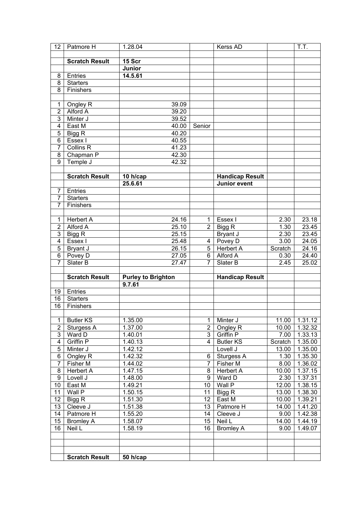| 12                      | Patmore H              | 1.28.04                             |                 | Kerss AD               |                    | T.T.    |
|-------------------------|------------------------|-------------------------------------|-----------------|------------------------|--------------------|---------|
|                         |                        |                                     |                 |                        |                    |         |
|                         | <b>Scratch Result</b>  | 15 Scr                              |                 |                        |                    |         |
|                         |                        | Junior                              |                 |                        |                    |         |
| 8                       | Entries                | 14.5.61                             |                 |                        |                    |         |
| 8                       | <b>Starters</b>        |                                     |                 |                        |                    |         |
| $\overline{8}$          | Finishers              |                                     |                 |                        |                    |         |
|                         |                        |                                     |                 |                        |                    |         |
| 1                       |                        | 39.09                               |                 |                        |                    |         |
| $\overline{2}$          | Ongley R<br>Alford A   |                                     |                 |                        |                    |         |
|                         |                        | 39.20                               |                 |                        |                    |         |
| $\overline{3}$          | Minter J               | 39.52                               |                 |                        |                    |         |
| 4                       | East M                 | 40.00                               | Senior          |                        |                    |         |
| 5                       | Bigg R                 | 40.20                               |                 |                        |                    |         |
| 6                       | Essex I                | 40.55                               |                 |                        |                    |         |
| $\overline{7}$          | <b>Collins R</b>       | 41.23                               |                 |                        |                    |         |
| 8                       | Chapman P              | 42.30                               |                 |                        |                    |         |
| $\overline{9}$          | Temple J               | 42.32                               |                 |                        |                    |         |
|                         |                        |                                     |                 |                        |                    |         |
|                         | <b>Scratch Result</b>  | 10 h/cap                            |                 | <b>Handicap Result</b> |                    |         |
|                         |                        | 25.6.61                             |                 | <b>Junior event</b>    |                    |         |
| $\overline{7}$          | Entries                |                                     |                 |                        |                    |         |
| 7                       | <b>Starters</b>        |                                     |                 |                        |                    |         |
| 7                       | Finishers              |                                     |                 |                        |                    |         |
|                         |                        |                                     |                 |                        |                    |         |
| 1                       | Herbert $\overline{A}$ | 24.16                               | $\mathbf{1}$    | Essex I                | 2.30               | 23.18   |
| $\overline{2}$          | Alford A               | 25.10                               | $\overline{2}$  | Bigg R                 | 1.30               | 23.45   |
| 3                       | Bigg R                 | 25.15                               |                 | Bryant J               | 2.30               | 23.45   |
| 4                       | Essex I                | 25.48                               | 4               | Povey D                | 3.00               | 24.05   |
| $\overline{5}$          | Bryant J               | 26.15                               | 5               | <b>Herbert A</b>       | Scratch            | 24.16   |
| $\overline{6}$          | Povey D                | 27.05                               | 6               | Alford A               | 0.30               | 24.40   |
| 7                       | Slater B               | 27.47                               | $\overline{7}$  | Slater B               | 2.45               | 25.02   |
|                         |                        |                                     |                 |                        |                    |         |
|                         | <b>Scratch Result</b>  |                                     |                 | <b>Handicap Result</b> |                    |         |
|                         |                        | <b>Purley to Brighton</b><br>9.7.61 |                 |                        |                    |         |
|                         |                        |                                     |                 |                        |                    |         |
| 19                      | Entries                |                                     |                 |                        |                    |         |
| 16                      | Starters               |                                     |                 |                        |                    |         |
| 16                      | Finishers              |                                     |                 |                        |                    |         |
|                         |                        |                                     |                 |                        |                    |         |
| $\mathbf{1}$            | <b>Butler KS</b>       | 1.35.00                             | $\mathbf{1}$    | Minter J               | 11.00              | 1.31.12 |
| $\overline{\mathbf{c}}$ | Sturgess A             | 1.37.00                             | $\overline{2}$  | Ongley R               | 10.00              | 1.32.32 |
| $\overline{3}$          | Ward D                 | 1.40.01                             | $\overline{3}$  | Griffin P              | 7.00               | 1.33.13 |
| $\overline{4}$          | Griffin P              | 1.40.13                             | $\overline{4}$  | <b>Butler KS</b>       | Scratch            | 1.35.00 |
| 5                       | Minter J               | 1.42.12                             |                 | Lovell J               | 13.00              | 1.35.00 |
| 6                       | Ongley R               | 1.42.32                             | 6               | Sturgess A             | 1.30               | 1.35.30 |
| $\overline{7}$          | Fisher M               | 1.44.02                             | $\overline{7}$  | Fisher M               | 8.00               | 1.36.02 |
| 8                       | <b>Herbert A</b>       | 1.47.15                             | 8               | <b>Herbert A</b>       | 10.00              | 1.37.15 |
| $\overline{9}$          | Lovell J               | 1.48.00                             | $\overline{9}$  | Ward D                 | 2.30               | 1.37.31 |
| 10                      | East M                 | 1.49.21                             | 10 <sup>1</sup> | Wall P                 | 12.00              | 1.38.15 |
| 11                      | Wall P                 | 1.50.15                             | 11              | Bigg R                 | 13.00              | 1.38.30 |
| 12                      | Bigg R                 | 1.51.30                             | 12              | East M                 | 10.00              | 1.39.21 |
| 13                      | Cleeve J               | 1.51.38                             | 13              | Patmore H              | 14.00              | 1.41.20 |
| 14                      | Patmore H              | 1.55.20                             | 14              | Cleeve J               | 9.00               | 1.42.38 |
| 15                      | <b>Bromley A</b>       | 1.58.07                             | 15 <sub>1</sub> | Neil L                 | $\overline{14.00}$ | 1.44.19 |
| 16                      | Neil L                 | 1.58.19                             | 16              | <b>Bromley A</b>       | 9.00               | 1.49.07 |
|                         |                        |                                     |                 |                        |                    |         |
|                         |                        |                                     |                 |                        |                    |         |
|                         |                        |                                     |                 |                        |                    |         |
|                         | <b>Scratch Result</b>  | 50 h/cap                            |                 |                        |                    |         |
|                         |                        |                                     |                 |                        |                    |         |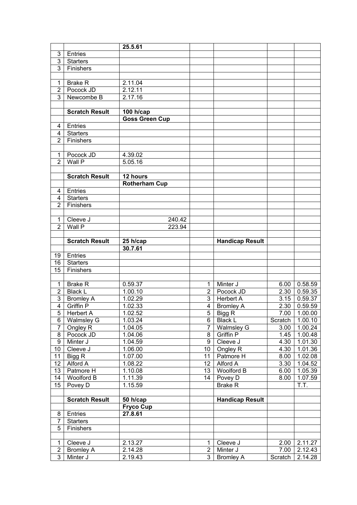|                     |                       | 25.5.61               |                |                        |         |                  |
|---------------------|-----------------------|-----------------------|----------------|------------------------|---------|------------------|
| 3                   | Entries               |                       |                |                        |         |                  |
| $\overline{3}$      | <b>Starters</b>       |                       |                |                        |         |                  |
| $\overline{3}$      | Finishers             |                       |                |                        |         |                  |
|                     |                       |                       |                |                        |         |                  |
| 1                   | <b>Brake R</b>        | 2.11.04               |                |                        |         |                  |
| $\overline{2}$      | Pocock JD             | 2.12.11               |                |                        |         |                  |
| $\overline{3}$      | Newcombe B            | 2.17.16               |                |                        |         |                  |
|                     |                       |                       |                |                        |         |                  |
|                     | <b>Scratch Result</b> | 100 h/cap             |                |                        |         |                  |
|                     |                       | <b>Goss Green Cup</b> |                |                        |         |                  |
| 4                   | Entries               |                       |                |                        |         |                  |
| 4                   | <b>Starters</b>       |                       |                |                        |         |                  |
| $\overline{2}$      | Finishers             |                       |                |                        |         |                  |
|                     |                       |                       |                |                        |         |                  |
| 1                   | Pocock JD             | 4.39.02               |                |                        |         |                  |
| $\overline{2}$      | Wall P                | 5.05.16               |                |                        |         |                  |
|                     |                       |                       |                |                        |         |                  |
|                     | <b>Scratch Result</b> | 12 hours              |                |                        |         |                  |
|                     |                       | <b>Rotherham Cup</b>  |                |                        |         |                  |
| 4                   | Entries               |                       |                |                        |         |                  |
| 4                   | <b>Starters</b>       |                       |                |                        |         |                  |
| $\overline{2}$      | Finishers             |                       |                |                        |         |                  |
|                     |                       |                       |                |                        |         |                  |
|                     |                       |                       |                |                        |         |                  |
| 1<br>$\overline{2}$ | Cleeve J<br>Wall P    | 240.42                |                |                        |         |                  |
|                     |                       | 223.94                |                |                        |         |                  |
|                     |                       |                       |                |                        |         |                  |
|                     | <b>Scratch Result</b> | 25 h/cap              |                | <b>Handicap Result</b> |         |                  |
|                     |                       | 30.7.61               |                |                        |         |                  |
| 19                  | Entries               |                       |                |                        |         |                  |
| 16                  | <b>Starters</b>       |                       |                |                        |         |                  |
| 15                  | Finishers             |                       |                |                        |         |                  |
|                     |                       |                       |                |                        |         |                  |
| 1                   | <b>Brake R</b>        | 0.59.37               | 1              | Minter J               | 6.00    | 0.58.59          |
| $\overline{2}$      | <b>Black L</b>        | 1.00.10               | $\overline{2}$ | Pocock JD              | 2.30    | 0.59.35          |
| $\overline{3}$      | <b>Bromley A</b>      | 1.02.29               | $\overline{3}$ | <b>Herbert A</b>       |         | $3.15$ 0.59.37   |
| $\overline{4}$      | <b>Griffin P</b>      | 1.02.33               | $\overline{4}$ | <b>Bromley A</b>       |         | 2.30   0.59.59   |
|                     | 5 Herbert A           | 1.02.52               |                | $5$ Bigg R             |         | $7.00$   1.00.00 |
| 6                   | <b>Walmsley G</b>     | 1.03.24               | 6              | <b>Black L</b>         | Scratch | 1.00.10          |
| $\overline{7}$      | Ongley R              | 1.04.05               | $\overline{7}$ | <b>Walmsley G</b>      | 3.00    | 1.00.24          |
| 8                   | Pocock JD             | 1.04.06               | 8              | Griffin P              | 1.45    | 1.00.48          |
| $\overline{9}$      | Minter J              | 1.04.59               | $\overline{9}$ | Cleeve J               | 4.30    | 1.01.30          |
| 10                  | Cleeve J              | 1.06.00               | 10             | Ongley R               | 4.30    | 1.01.36          |
| 11                  | Bigg $\overline{R}$   | 1.07.00               | 11             | Patmore H              | 8.00    | 1.02.08          |
| 12                  | Alford A              | 1.08.22               | 12             | Alford A               | 3.30    | 1.04.52          |
| $\overline{13}$     | Patmore H             | 1.10.08               | 13             | <b>Woolford B</b>      | 6.00    | 1.05.39          |
| 14                  | <b>Woolford B</b>     | 1.11.39               | 14             | Povey D                | 8.00    | 1.07.59          |
| 15                  | Povey D               | 1.15.59               |                | <b>Brake R</b>         |         | T.T.             |
|                     |                       |                       |                |                        |         |                  |
|                     | <b>Scratch Result</b> | 50 h/cap              |                | <b>Handicap Result</b> |         |                  |
|                     |                       | <b>Fryco Cup</b>      |                |                        |         |                  |
| 8                   | Entries               | 27.8.61               |                |                        |         |                  |
| $\overline{7}$      | <b>Starters</b>       |                       |                |                        |         |                  |
| 5                   | Finishers             |                       |                |                        |         |                  |
|                     |                       |                       |                |                        |         |                  |
| $\mathbf{1}$        | Cleeve J              | 2.13.27               | $\mathbf{1}$   | Cleeve J               | 2.00    | 2.11.27          |
| $\overline{2}$      | <b>Bromley A</b>      | 2.14.28               | $\overline{2}$ | Minter J               | 7.00    | 2.12.43          |
| $\overline{3}$      | Minter J              | 2.19.43               | $\overline{3}$ | <b>Bromley A</b>       | Scratch | 2.14.28          |
|                     |                       |                       |                |                        |         |                  |